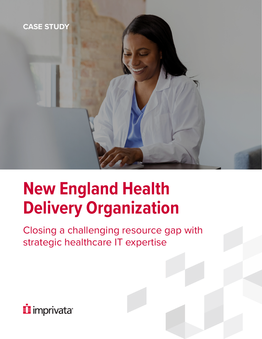

# **New England Health Delivery Organization**

Closing a challenging resource gap with strategic healthcare IT expertise

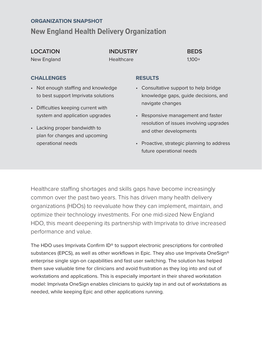#### **ORGANIZATION SNAPSHOT**

#### **New England Health Delivery Organization**

#### **LOCATION** New England

**INDUSTRY Healthcare** 

**BEDS** 1,100+

#### **CHALLENGES**

- Not enough staffing and knowledge to best support Imprivata solutions
- Difficulties keeping current with system and application upgrades
- Lacking proper bandwidth to plan for changes and upcoming operational needs

#### **RESULTS**

- Consultative support to help bridge knowledge gaps, guide decisions, and navigate changes
- Responsive management and faster resolution of issues involving upgrades and other developments
- Proactive, strategic planning to address future operational needs

Healthcare staffing shortages and skills gaps have become increasingly common over the past two years. This has driven many health delivery organizations (HDOs) to reevaluate how they can implement, maintain, and optimize their technology investments. For one mid-sized New England HDO, this meant deepening its partnership with Imprivata to drive increased performance and value.

The HDO uses Imprivata Confirm ID® to support electronic prescriptions for controlled substances (EPCS), as well as other workflows in Epic. They also use Imprivata OneSign® enterprise single sign-on capabilities and fast user switching. The solution has helped them save valuable time for clinicians and avoid frustration as they log into and out of workstations and applications. This is especially important in their shared workstation model: Imprivata OneSign enables clinicians to quickly tap in and out of workstations as needed, while keeping Epic and other applications running.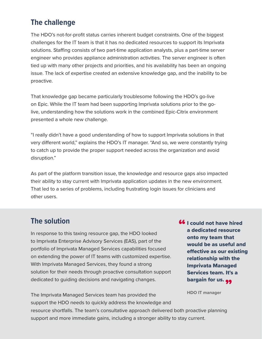### **The challenge**

The HDO's not-for-profit status carries inherent budget constraints. One of the biggest challenges for the IT team is that it has no dedicated resources to support its Imprivata solutions. Staffing consists of two part-time application analysts, plus a part-time server engineer who provides appliance administration activities. The server engineer is often tied up with many other projects and priorities, and his availability has been an ongoing issue. The lack of expertise created an extensive knowledge gap, and the inability to be proactive.

That knowledge gap became particularly troublesome following the HDO's go-live on Epic. While the IT team had been supporting Imprivata solutions prior to the golive, understanding how the solutions work in the combined Epic-Citrix environment presented a whole new challenge.

"I really didn't have a good understanding of how to support Imprivata solutions in that very different world," explains the HDO's IT manager. "And so, we were constantly trying to catch up to provide the proper support needed across the organization and avoid disruption."

As part of the platform transition issue, the knowledge and resource gaps also impacted their ability to stay current with Imprivata application updates in the new environment. That led to a series of problems, including frustrating login issues for clinicians and other users.

#### **The solution**

In response to this taxing resource gap, the HDO looked to Imprivata Enterprise Advisory Services (EAS), part of the portfolio of Imprivata Managed Services capabilities focused on extending the power of IT teams with customized expertise. With Imprivata Managed Services, they found a strong solution for their needs through proactive consultation support dedicated to guiding decisions and navigating changes.

**66** I could not have hired<br>a dedicated resource a dedicated resource onto my team that would be as useful and effective as our existing relationship with the Imprivata Managed Services team. It's a bargain for us. 99<br>''DO 'T

**HDO IT manager**

The Imprivata Managed Services team has provided the support the HDO needs to quickly address the knowledge and resource shortfalls. The team's consultative approach delivered both proactive planning support and more immediate gains, including a stronger ability to stay current.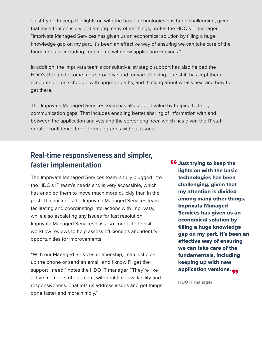"Just trying to keep the lights on with the basic technologies has been challenging, given that my attention is divided among many other things," notes the HDO's IT manager. "Imprivata Managed Services has given us an economical solution by filling a huge knowledge gap on my part. It's been an effective way of ensuring we can take care of the fundamentals, including keeping up with new application versions."

In addition, the Imprivata team's consultative, strategic support has also helped the HDO's IT team become more proactive and forward-thinking. The shift has kept them accountable, on schedule with upgrade paths, and thinking about what's next and how to get there.

The Imprivata Managed Services team has also added value by helping to bridge communication gaps. That includes enabling better sharing of information with and between the application analysts and the server engineer, which has given the IT staff greater confidence to perform upgrades without issues.

## **Real-time responsiveness and simpler, faster implementation**

The Imprivata Managed Services team is fully plugged into the HDO's IT team's needs and is very accessible, which has enabled them to move much more quickly than in the past. That includes the Imprivata Managed Services team facilitating and coordinating interactions with Imprivata, while also escalating any issues for fast resolution. Imprivata Managed Services has also conducted onsite workflow reviews to help assess efficiencies and identify opportunities for improvements.

"With our Managed Services relationship, I can just pick up the phone or send an email, and I know I'll get the support I need," notes the HDO IT manager. "They're like active members of our team, with real-time availability and responsiveness. That lets us address issues and get things done faster and more nimbly."

**66** Just trying to keep the<br>lights on with the basic lights on with the basic technologies has been challenging, given that my attention is divided among many other things. Imprivata Managed Services has given us an economical solution by filling a huge knowledge gap on my part. It's been an effective way of ensuring we can take care of the fundamentals, including keeping up with new application versions. 99<br>''DO 'Tweeters

**HDO IT manager**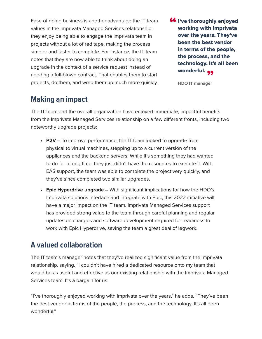Ease of doing business is another advantage the IT team values in the Imprivata Managed Services relationship: they enjoy being able to engage the Imprivata team in projects without a lot of red tape, making the process simpler and faster to complete. For instance, the IT team notes that they are now able to think about doing an upgrade in the context of a service request instead of needing a full-blown contract. That enables them to start projects, do them, and wrap them up much more quickly.

**66** I've thoroughly enjoyed<br>working with Imprivata working with Imprivata over the years. They've been the best vendor in terms of the people, the process, and the technology. It's all been wonderful. "

**HDO IT manager**

# **Making an impact**

The IT team and the overall organization have enjoyed immediate, impactful benefits from the Imprivata Managed Services relationship on a few different fronts, including two noteworthy upgrade projects:

- **• P2V** To improve performance, the IT team looked to upgrade from physical to virtual machines, stepping up to a current version of the appliances and the backend servers. While it's something they had wanted to do for a long time, they just didn't have the resources to execute it. With EAS support, the team was able to complete the project very quickly, and they've since completed two similar upgrades.
- **• Epic Hyperdrive upgrade** With significant implications for how the HDO's Imprivata solutions interface and integrate with Epic, this 2022 initiative will have a major impact on the IT team. Imprivata Managed Services support has provided strong value to the team through careful planning and regular updates on changes and software development required for readiness to work with Epic Hyperdrive, saving the team a great deal of legwork.

#### **A valued collaboration**

The IT team's manager notes that they've realized significant value from the Imprivata relationship, saying, "I couldn't have hired a dedicated resource onto my team that would be as useful and effective as our existing relationship with the Imprivata Managed Services team. It's a bargain for us.

"I've thoroughly enjoyed working with Imprivata over the years," he adds. "They've been the best vendor in terms of the people, the process, and the technology. It's all been wonderful."